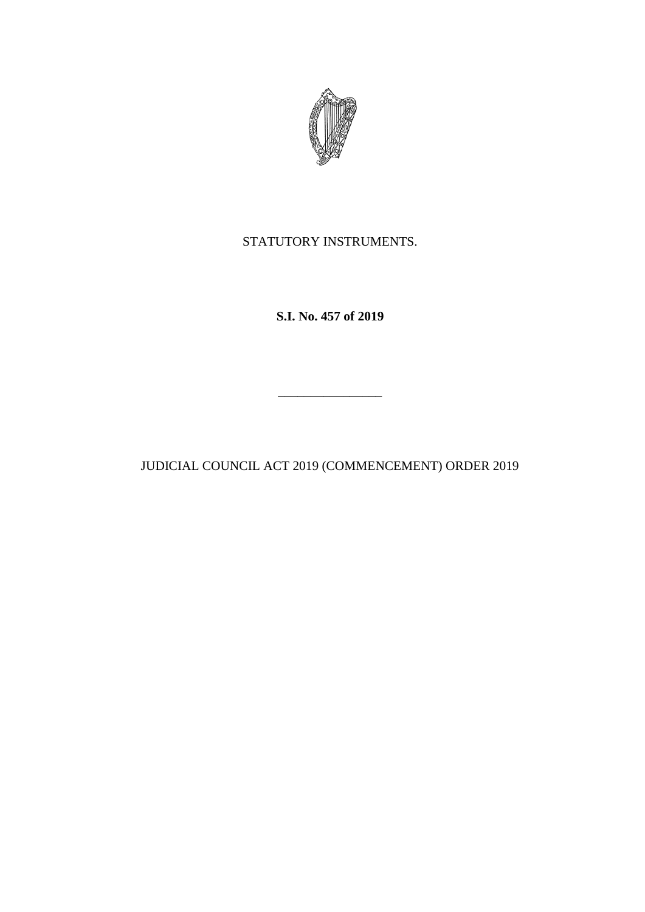

STATUTORY INSTRUMENTS.

**S.I. No. 457 of 2019**

JUDICIAL COUNCIL ACT 2019 (COMMENCEMENT) ORDER 2019

 $\mathcal{L}=\mathcal{L}^{\mathcal{L}}$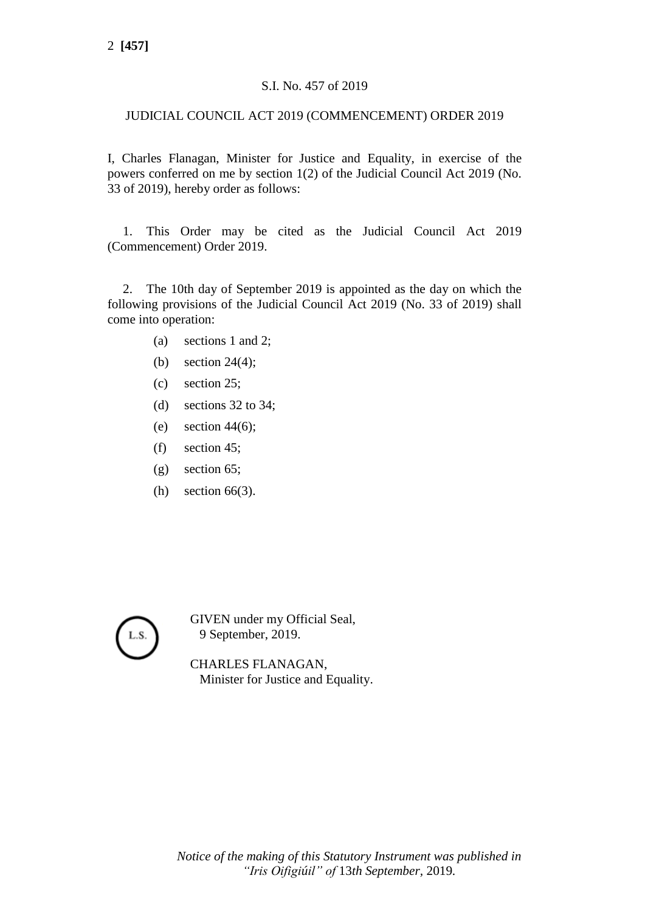## S.I. No. 457 of 2019

## JUDICIAL COUNCIL ACT 2019 (COMMENCEMENT) ORDER 2019

I, Charles Flanagan, Minister for Justice and Equality, in exercise of the powers conferred on me by section 1(2) of the Judicial Council Act 2019 (No. 33 of 2019), hereby order as follows:

1. This Order may be cited as the Judicial Council Act 2019 (Commencement) Order 2019.

2. The 10th day of September 2019 is appointed as the day on which the following provisions of the Judicial Council Act 2019 (No. 33 of 2019) shall come into operation:

- (a) sections 1 and 2;
- (b) section 24(4);
- (c) section 25;
- (d) sections 32 to 34;
- (e) section  $44(6)$ ;
- (f) section 45;
- (g) section 65;
- (h) section 66(3).



GIVEN under my Official Seal, 9 September, 2019.

CHARLES FLANAGAN, Minister for Justice and Equality.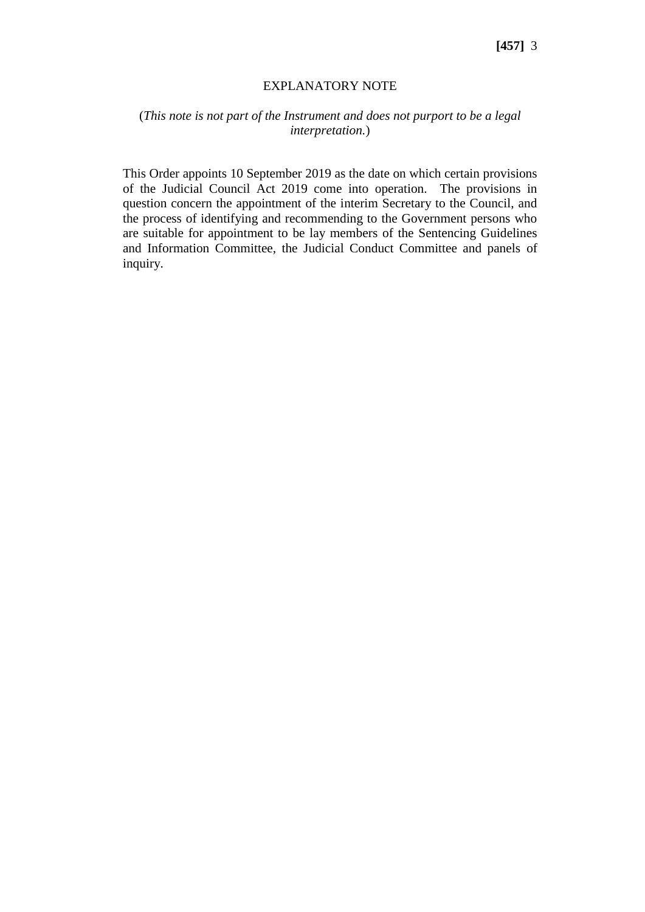## EXPLANATORY NOTE

## (*This note is not part of the Instrument and does not purport to be a legal interpretation.*)

This Order appoints 10 September 2019 as the date on which certain provisions of the Judicial Council Act 2019 come into operation. The provisions in question concern the appointment of the interim Secretary to the Council, and the process of identifying and recommending to the Government persons who are suitable for appointment to be lay members of the Sentencing Guidelines and Information Committee, the Judicial Conduct Committee and panels of inquiry.